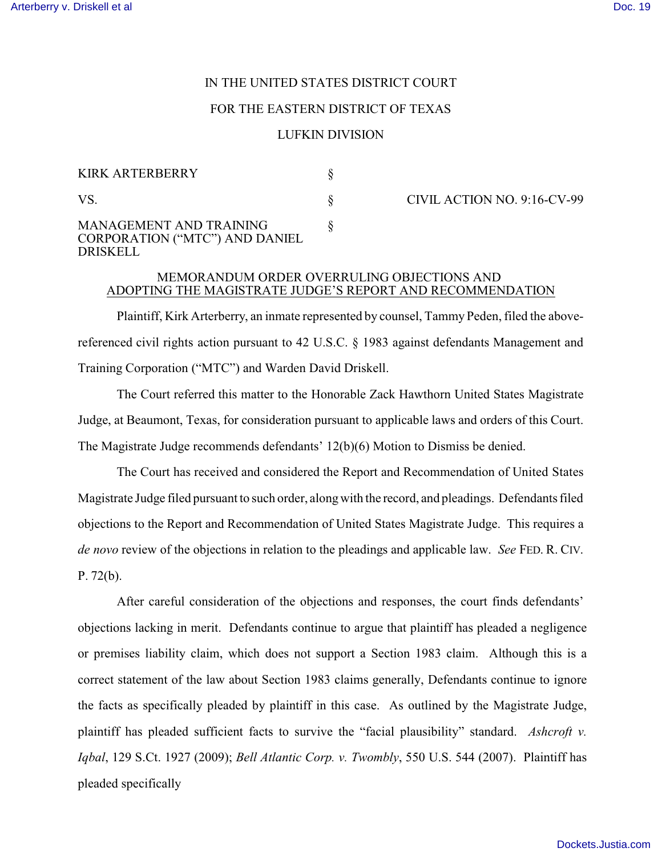# IN THE UNITED STATES DISTRICT COURT

#### FOR THE EASTERN DISTRICT OF TEXAS

## LUFKIN DIVISION

| KIRK ARTERBERRY                                                                     |  |
|-------------------------------------------------------------------------------------|--|
| VS.                                                                                 |  |
| MANAGEMENT AND TRAINING<br><b>CORPORATION ("MTC") AND DANIEL</b><br><b>DRISKELL</b> |  |

CIVIL ACTION NO. 9:16-CV-99

## MEMORANDUM ORDER OVERRULING OBJECTIONS AND ADOPTING THE MAGISTRATE JUDGE'S REPORT AND RECOMMENDATION

Plaintiff, Kirk Arterberry, an inmate represented by counsel, Tammy Peden, filed the abovereferenced civil rights action pursuant to 42 U.S.C. § 1983 against defendants Management and Training Corporation ("MTC") and Warden David Driskell.

The Court referred this matter to the Honorable Zack Hawthorn United States Magistrate Judge, at Beaumont, Texas, for consideration pursuant to applicable laws and orders of this Court. The Magistrate Judge recommends defendants' 12(b)(6) Motion to Dismiss be denied.

The Court has received and considered the Report and Recommendation of United States Magistrate Judge filed pursuant to such order, along with the record, and pleadings. Defendants filed objections to the Report and Recommendation of United States Magistrate Judge. This requires a *de novo* review of the objections in relation to the pleadings and applicable law. *See* FED. R. CIV. P. 72(b).

After careful consideration of the objections and responses, the court finds defendants' objections lacking in merit. Defendants continue to argue that plaintiff has pleaded a negligence or premises liability claim, which does not support a Section 1983 claim. Although this is a correct statement of the law about Section 1983 claims generally, Defendants continue to ignore the facts as specifically pleaded by plaintiff in this case. As outlined by the Magistrate Judge, plaintiff has pleaded sufficient facts to survive the "facial plausibility" standard. *Ashcroft v. Iqbal*, 129 S.Ct. 1927 (2009); *Bell Atlantic Corp. v. Twombly*, 550 U.S. 544 (2007). Plaintiff has pleaded specifically